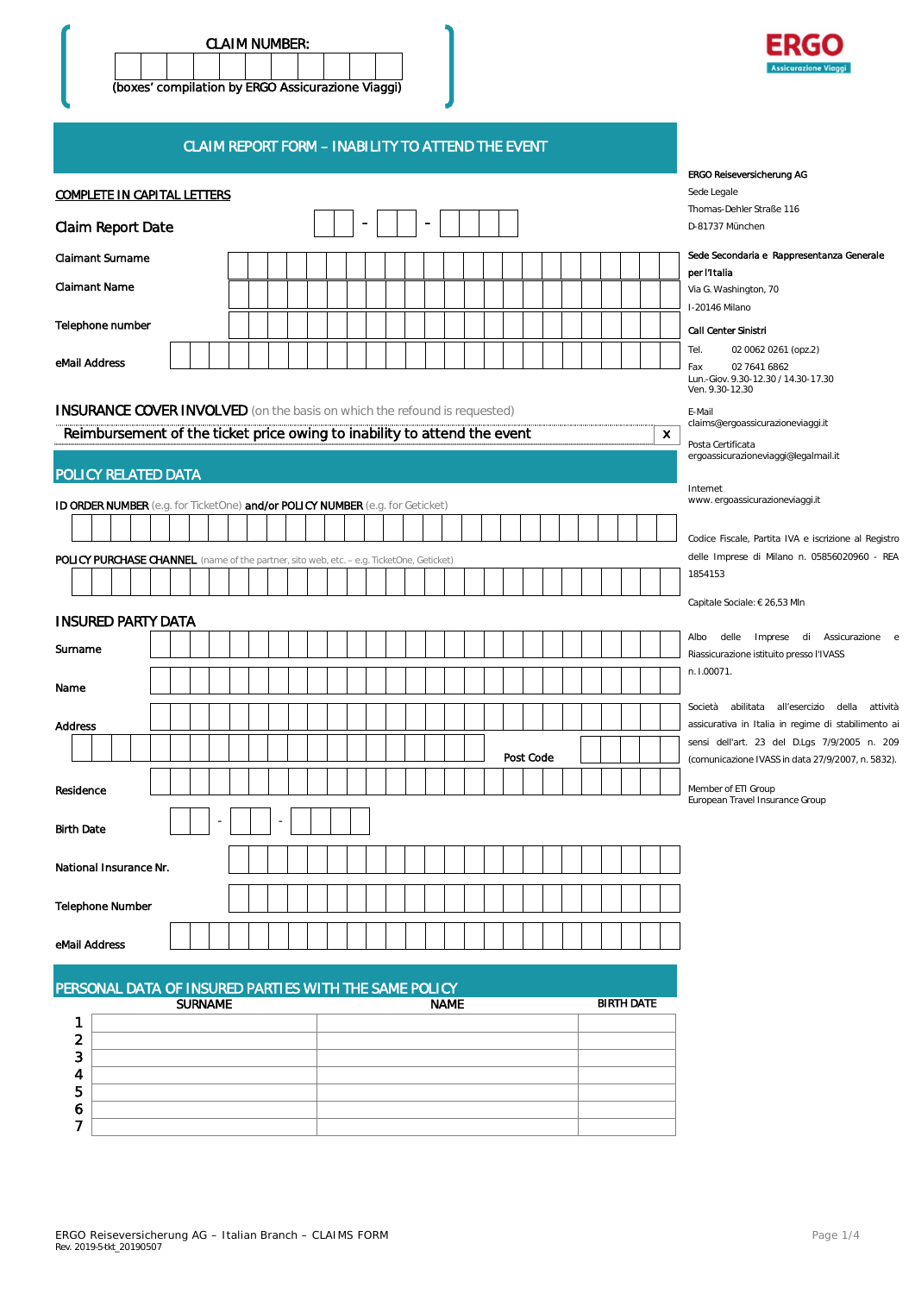



### CLAIM REPORT FORM – INABILITY TO ATTEND THE EVENT

|                                                                                                 | <b>ERGO Reiseversicherung AG</b>                          |
|-------------------------------------------------------------------------------------------------|-----------------------------------------------------------|
| <b>COMPLETE IN CAPITAL LETTERS</b>                                                              | Sede Legale                                               |
|                                                                                                 | Thomas-Dehler Straße 116                                  |
| $\overline{\phantom{a}}$<br><b>Claim Report Date</b>                                            | D-81737 München                                           |
| <b>Claimant Surname</b>                                                                         | Sede Secondaria e Rappresentanza Generale                 |
| <b>Claimant Name</b>                                                                            | per l'Italia                                              |
|                                                                                                 | Via G. Washington, 70<br>I-20146 Milano                   |
| Telephone number                                                                                |                                                           |
|                                                                                                 | Call Center Sinistri<br>02 0062 0261 (opz.2)<br>Tel.      |
| eMail Address                                                                                   | 02 7641 6862<br>Fax                                       |
|                                                                                                 | Lun.-Giov. 9.30-12.30 / 14.30-17.30<br>Ven. 9.30-12.30    |
| <b>INSURANCE COVER INVOLVED</b> (on the basis on which the refound is requested)                | E-Mail                                                    |
| Reimbursement of the ticket price owing to inability to attend the event                        | claims@ergoassicurazioneviaggi.it<br>X.                   |
|                                                                                                 | Posta Certificata<br>ergoassicurazioneviaggi@legalmail.it |
| POLICY RELATED DATA                                                                             |                                                           |
|                                                                                                 | Internet<br>www.ergoassicurazioneviaggi.it                |
| ID ORDER NUMBER (e.g. for TicketOne) and/or POLICY NUMBER (e.g. for Geticket)                   |                                                           |
|                                                                                                 | Codice Fiscale, Partita IVA e iscrizione al Registro      |
| <b>POLICY PURCHASE CHANNEL</b> (name of the partner, sito web, etc. - e.g. TicketOne, Geticket) | delle Imprese di Milano n. 05856020960 - REA              |
|                                                                                                 | 1854153                                                   |
|                                                                                                 | Capitale Sociale: € 26,53 Mln                             |
| <b>INSURED PARTY DATA</b>                                                                       |                                                           |
| Surname                                                                                         | Albo delle Imprese di Assicurazione e                     |
|                                                                                                 | Riassicurazione istituito presso l'IVASS<br>n. I.00071.   |
| Name                                                                                            |                                                           |
|                                                                                                 | Società<br>abilitata all'esercizio della<br>attività      |
| Address                                                                                         | assicurativa in Italia in regime di stabilimento a        |
| Post Code                                                                                       | sensi dell'art. 23 del D.Lgs 7/9/2005 n. 209              |
|                                                                                                 | (comunicazione IVASS in data 27/9/2007, n. 5832).         |
| Residence                                                                                       | Member of ETI Group<br>European Travel Insurance Group    |
|                                                                                                 |                                                           |
| <b>Birth Date</b>                                                                               |                                                           |
|                                                                                                 |                                                           |
| National Insurance Nr.                                                                          |                                                           |
| <b>Telephone Number</b>                                                                         |                                                           |
|                                                                                                 |                                                           |
| eMail Address                                                                                   |                                                           |
|                                                                                                 |                                                           |
| PERSONAL DATA OF INSURED PARTIES WITH THE SAME POLICY                                           |                                                           |
| <b>SURNAME</b><br><b>NAME</b>                                                                   | <b>BIRTH DATE</b>                                         |
| 1                                                                                               |                                                           |
| $\overline{\mathbf{c}}$<br>3                                                                    |                                                           |
|                                                                                                 |                                                           |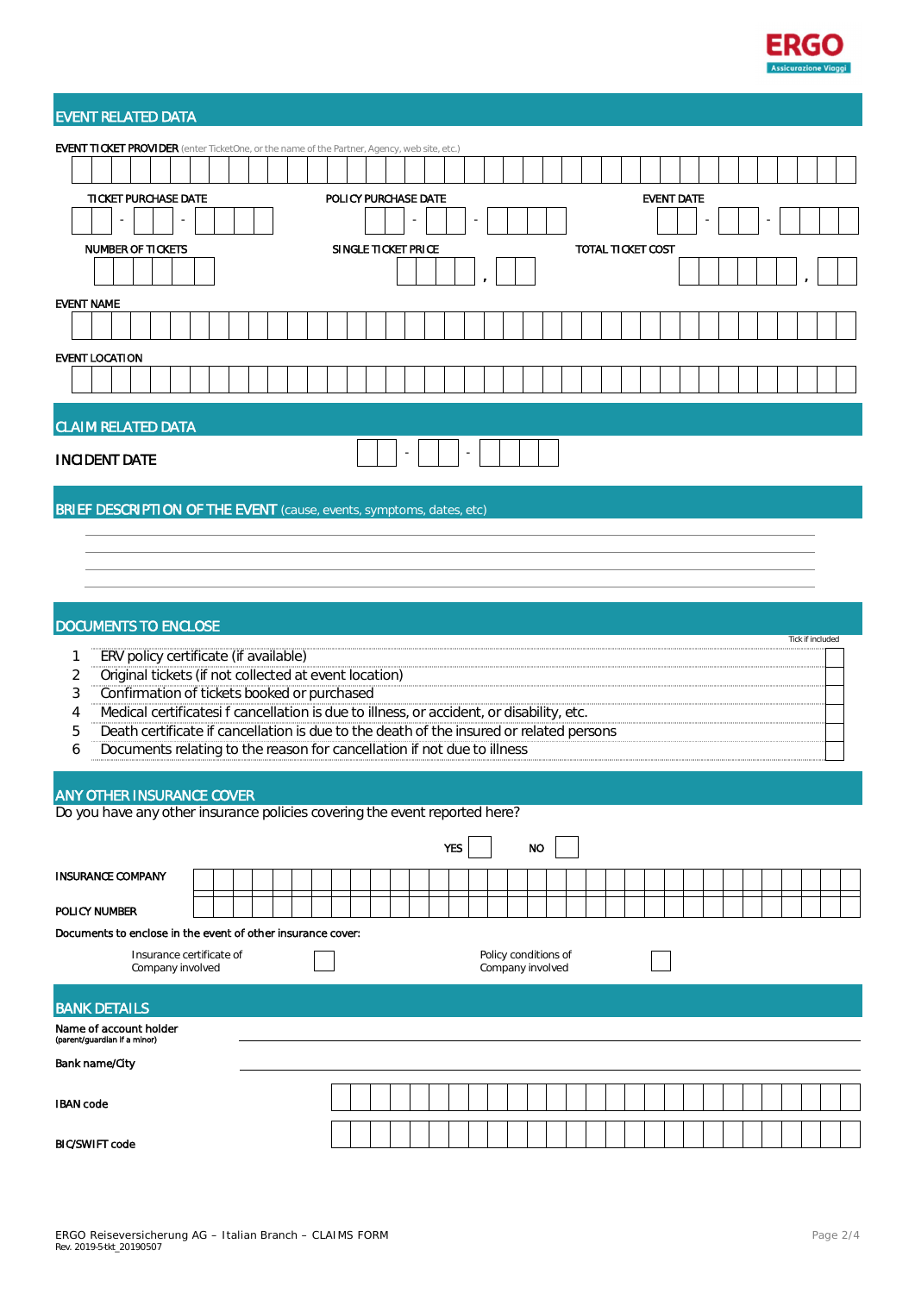

# EVENT RELATED DATA

| <b>EVENT TICKET PROVIDER</b> (enter TicketOne, or the name of the Partner, Agency, web site, etc.)                                                                           |  |  |  |  |                      |  |                     |  |            |                      |           |  |  |                          |                   |  |  |                  |  |
|------------------------------------------------------------------------------------------------------------------------------------------------------------------------------|--|--|--|--|----------------------|--|---------------------|--|------------|----------------------|-----------|--|--|--------------------------|-------------------|--|--|------------------|--|
|                                                                                                                                                                              |  |  |  |  |                      |  |                     |  |            |                      |           |  |  |                          |                   |  |  |                  |  |
| TICKET PURCHASE DATE                                                                                                                                                         |  |  |  |  | POLICY PURCHASE DATE |  |                     |  |            |                      |           |  |  |                          | <b>EVENT DATE</b> |  |  |                  |  |
|                                                                                                                                                                              |  |  |  |  |                      |  |                     |  |            |                      |           |  |  |                          |                   |  |  |                  |  |
| <b>NUMBER OF TICKETS</b>                                                                                                                                                     |  |  |  |  |                      |  | SINGLE TICKET PRICE |  |            |                      |           |  |  | <b>TOTAL TICKET COST</b> |                   |  |  |                  |  |
|                                                                                                                                                                              |  |  |  |  |                      |  |                     |  |            |                      |           |  |  |                          |                   |  |  |                  |  |
| <b>EVENT NAME</b>                                                                                                                                                            |  |  |  |  |                      |  |                     |  |            |                      |           |  |  |                          |                   |  |  |                  |  |
|                                                                                                                                                                              |  |  |  |  |                      |  |                     |  |            |                      |           |  |  |                          |                   |  |  |                  |  |
| <b>EVENT LOCATION</b>                                                                                                                                                        |  |  |  |  |                      |  |                     |  |            |                      |           |  |  |                          |                   |  |  |                  |  |
|                                                                                                                                                                              |  |  |  |  |                      |  |                     |  |            |                      |           |  |  |                          |                   |  |  |                  |  |
|                                                                                                                                                                              |  |  |  |  |                      |  |                     |  |            |                      |           |  |  |                          |                   |  |  |                  |  |
| <b>CLAIM RELATED DATA</b>                                                                                                                                                    |  |  |  |  |                      |  |                     |  |            |                      |           |  |  |                          |                   |  |  |                  |  |
| <b>INCIDENT DATE</b>                                                                                                                                                         |  |  |  |  |                      |  |                     |  |            |                      |           |  |  |                          |                   |  |  |                  |  |
| <b>BRIEF DESCRIPTION OF THE EVENT</b> (cause, events, symptoms, dates, etc)                                                                                                  |  |  |  |  |                      |  |                     |  |            |                      |           |  |  |                          |                   |  |  |                  |  |
|                                                                                                                                                                              |  |  |  |  |                      |  |                     |  |            |                      |           |  |  |                          |                   |  |  |                  |  |
|                                                                                                                                                                              |  |  |  |  |                      |  |                     |  |            |                      |           |  |  |                          |                   |  |  |                  |  |
|                                                                                                                                                                              |  |  |  |  |                      |  |                     |  |            |                      |           |  |  |                          |                   |  |  |                  |  |
|                                                                                                                                                                              |  |  |  |  |                      |  |                     |  |            |                      |           |  |  |                          |                   |  |  |                  |  |
| <b>DOCUMENTS TO ENCLOSE</b>                                                                                                                                                  |  |  |  |  |                      |  |                     |  |            |                      |           |  |  |                          |                   |  |  | Tick if included |  |
| ERV policy certificate (if available)<br>1                                                                                                                                   |  |  |  |  |                      |  |                     |  |            |                      |           |  |  |                          |                   |  |  |                  |  |
| Original tickets (if not collected at event location)<br>2<br>3<br>Confirmation of tickets booked or purchased                                                               |  |  |  |  |                      |  |                     |  |            |                      |           |  |  |                          |                   |  |  |                  |  |
| Medical certificatesi f cancellation is due to illness, or accident, or disability, etc.<br>4                                                                                |  |  |  |  |                      |  |                     |  |            |                      |           |  |  |                          |                   |  |  |                  |  |
| Death certificate if cancellation is due to the death of the insured or related persons<br>5<br>Documents relating to the reason for cancellation if not due to illness<br>6 |  |  |  |  |                      |  |                     |  |            |                      |           |  |  |                          |                   |  |  |                  |  |
|                                                                                                                                                                              |  |  |  |  |                      |  |                     |  |            |                      |           |  |  |                          |                   |  |  |                  |  |
| <b>ANY OTHER INSURANCE COVER</b>                                                                                                                                             |  |  |  |  |                      |  |                     |  |            |                      |           |  |  |                          |                   |  |  |                  |  |
| Do you have any other insurance policies covering the event reported here?                                                                                                   |  |  |  |  |                      |  |                     |  |            |                      |           |  |  |                          |                   |  |  |                  |  |
|                                                                                                                                                                              |  |  |  |  |                      |  |                     |  | <b>YES</b> |                      | <b>NO</b> |  |  |                          |                   |  |  |                  |  |
| <b>INSURANCE COMPANY</b>                                                                                                                                                     |  |  |  |  |                      |  |                     |  |            |                      |           |  |  |                          |                   |  |  |                  |  |
| POLICY NUMBER                                                                                                                                                                |  |  |  |  |                      |  |                     |  |            |                      |           |  |  |                          |                   |  |  |                  |  |
| Documents to enclose in the event of other insurance cover:                                                                                                                  |  |  |  |  |                      |  |                     |  |            |                      |           |  |  |                          |                   |  |  |                  |  |
| Insurance certificate of                                                                                                                                                     |  |  |  |  |                      |  |                     |  |            | Policy conditions of |           |  |  |                          |                   |  |  |                  |  |
| Company involved                                                                                                                                                             |  |  |  |  |                      |  |                     |  |            | Company involved     |           |  |  |                          |                   |  |  |                  |  |
| <b>BANK DETAILS</b>                                                                                                                                                          |  |  |  |  |                      |  |                     |  |            |                      |           |  |  |                          |                   |  |  |                  |  |
| Name of account holder<br>(parent/guardian if a minor)                                                                                                                       |  |  |  |  |                      |  |                     |  |            |                      |           |  |  |                          |                   |  |  |                  |  |
| <b>Bank name/City</b>                                                                                                                                                        |  |  |  |  |                      |  |                     |  |            |                      |           |  |  |                          |                   |  |  |                  |  |
|                                                                                                                                                                              |  |  |  |  |                      |  |                     |  |            |                      |           |  |  |                          |                   |  |  |                  |  |
| <b>IBAN code</b>                                                                                                                                                             |  |  |  |  |                      |  |                     |  |            |                      |           |  |  |                          |                   |  |  |                  |  |
| <b>BIC/SWIFT code</b>                                                                                                                                                        |  |  |  |  |                      |  |                     |  |            |                      |           |  |  |                          |                   |  |  |                  |  |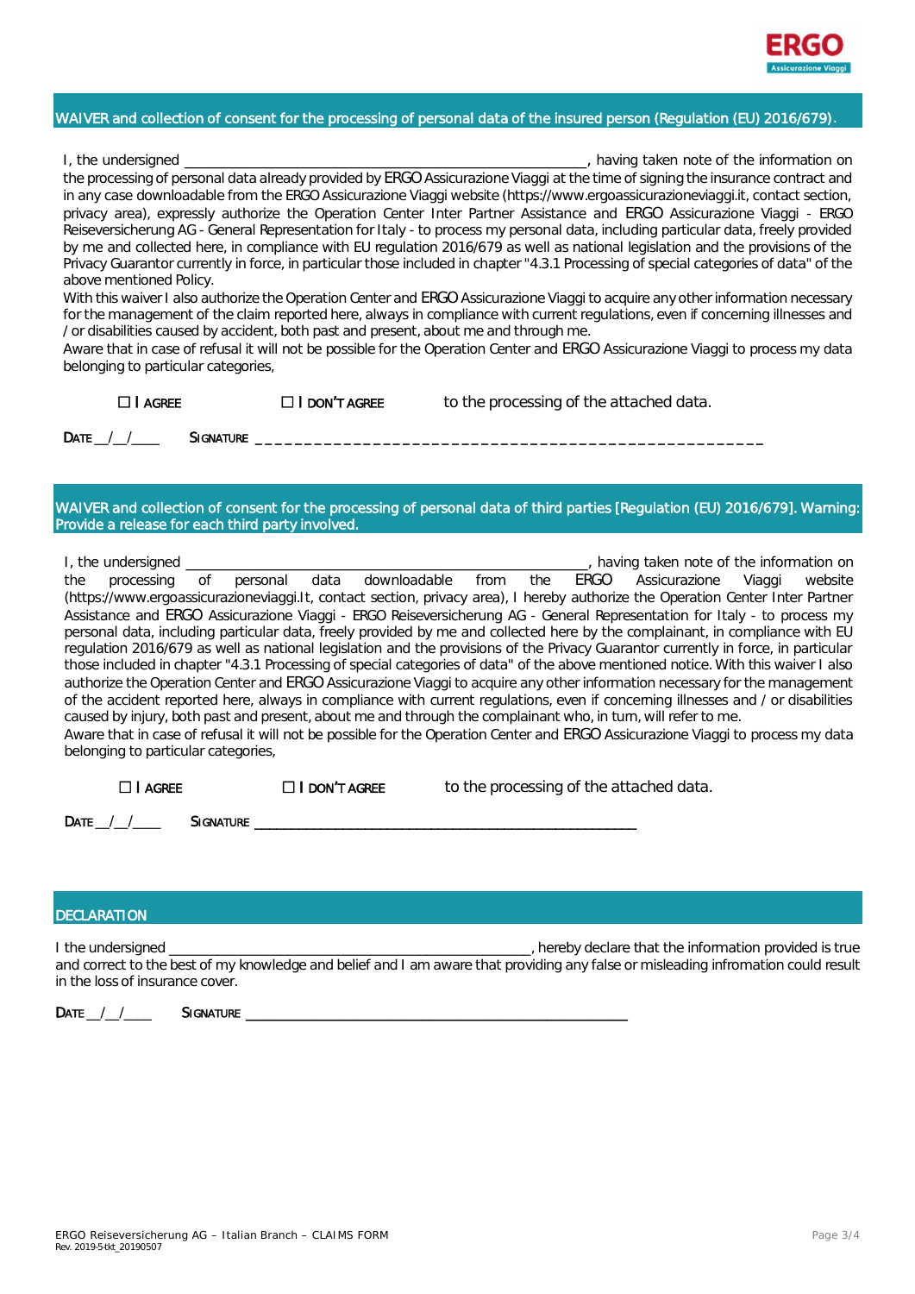

## WAIVER and collection of consent for the processing of personal data of the insured person (Regulation (EU) 2016/679).

| I, the undersigned                                                                                                                    | having taken note of the information on |
|---------------------------------------------------------------------------------------------------------------------------------------|-----------------------------------------|
| the processing of personal data already provided by ERGO Assicurazione Viaggi at the time of signing the insurance contract and       |                                         |
| in any case downloadable from the ERGO Assicurazione Viaggi website (https://www.ergoassicurazioneviaggi.it, contact section,         |                                         |
| privacy area), expressly authorize the Operation Center Inter Partner Assistance and ERGO Assicurazione Viaggi - ERGO                 |                                         |
| Reiseversicherung AG - General Representation for Italy - to process my personal data, including particular data, freely provided     |                                         |
| by me and collected here, in compliance with EU regulation 2016/679 as well as national legislation and the provisions of the         |                                         |
| Privacy Guarantor currently in force, in particular those included in chapter "4.3.1 Processing of special categories of data" of the |                                         |
| above mentioned Policy.                                                                                                               |                                         |

With this waiver I also authorize the Operation Center and ERGO Assicurazione Viaggi to acquire any other information necessary for the management of the claim reported here, always in compliance with current regulations, even if concerning illnesses and / or disabilities caused by accident, both past and present, about me and through me.

Aware that in case of refusal it will not be possible for the Operation Center and ERGO Assicurazione Viaggi to process my data belonging to particular categories,

 $\Box$  **I AGREE**  $\Box$  **I DON'T AGREE** to the processing of the attached data.

Date / / Signature

WAIVER and collection of consent for the processing of personal data of third parties [Regulation (EU) 2016/679]. Warning: Provide a release for each third party involved.

I, the undersigned \_\_\_\_\_\_\_\_\_\_\_\_\_\_\_\_\_\_\_\_\_\_\_\_\_\_\_\_\_\_\_\_\_\_\_\_\_\_\_\_\_\_\_\_\_\_\_\_\_\_\_\_, having taken note of the information on the processing of personal data downloadable from the ERGO Assicurazione Viaggi website (https://www.ergoassicurazioneviaggi.It, contact section, privacy area), I hereby authorize the Operation Center Inter Partner Assistance and ERGO Assicurazione Viaggi - ERGO Reiseversicherung AG - General Representation for Italy - to process my personal data, including particular data, freely provided by me and collected here by the complainant, in compliance with EU regulation 2016/679 as well as national legislation and the provisions of the Privacy Guarantor currently in force, in particular those included in chapter "4.3.1 Processing of special categories of data" of the above mentioned notice. With this waiver I also authorize the Operation Center and ERGO Assicurazione Viaggi to acquire any other information necessary for the management of the accident reported here, always in compliance with current regulations, even if concerning illnesses and / or disabilities caused by injury, both past and present, about me and through the complainant who, in turn, will refer to me. Aware that in case of refusal it will not be possible for the Operation Center and ERGO Assicurazione Viaggi to process my data belonging to particular categories,

| $\Box$   AGREE | $\Box$ I DON'T AGREE | to the processing of the attached data. |
|----------------|----------------------|-----------------------------------------|
|                |                      |                                         |

 $\mathsf{DATE} \_\_\_\_\_\_\_\_\$  Signature  $\_\_\_\$ 

#### **DECLARATION**

I the undersigned \_\_\_\_\_\_\_\_\_\_\_\_\_\_\_\_\_\_\_\_\_\_\_\_\_\_\_\_\_\_\_\_\_\_\_\_\_\_\_\_\_\_\_\_\_\_\_\_\_\_\_\_, hereby declare that the information provided is true and correct to the best of my knowledge and belief and I am aware that providing any false or misleading infromation could result in the loss of insurance cover.

DATE / / **SIGNATURE**